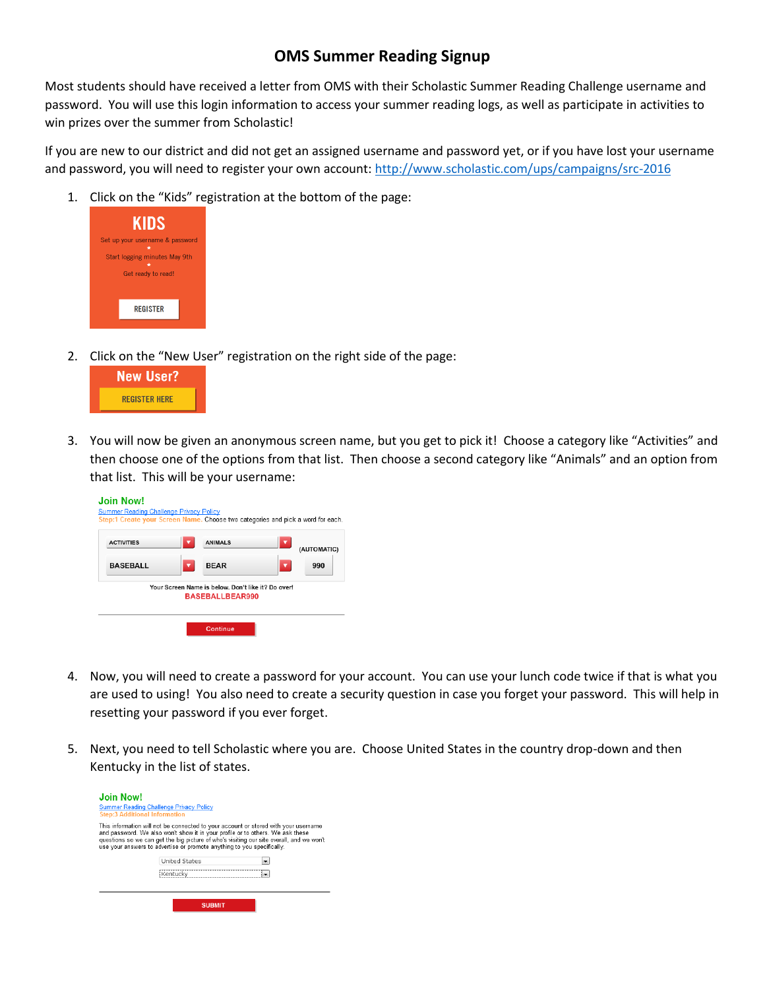## **OMS Summer Reading Signup**

Most students should have received a letter from OMS with their Scholastic Summer Reading Challenge username and password. You will use this login information to access your summer reading logs, as well as participate in activities to win prizes over the summer from Scholastic!

If you are new to our district and did not get an assigned username and password yet, or if you have lost your username and password, you will need to register your own account:<http://www.scholastic.com/ups/campaigns/src-2016>

1. Click on the "Kids" registration at the bottom of the page:



2. Click on the "New User" registration on the right side of the page:



3. You will now be given an anonymous screen name, but you get to pick it! Choose a category like "Activities" and then choose one of the options from that list. Then choose a second category like "Animals" and an option from that list. This will be your username:



- 4. Now, you will need to create a password for your account. You can use your lunch code twice if that is what you are used to using! You also need to create a security question in case you forget your password. This will help in resetting your password if you ever forget.
- 5. Next, you need to tell Scholastic where you are. Choose United States in the country drop-down and then Kentucky in the list of states.

| <b>Join Now!</b><br><b>Step:3 Additional Information</b> | <b>Summer Reading Challenge Privacy Policy</b>                                                                                                                                                                                                                                                                                              |
|----------------------------------------------------------|---------------------------------------------------------------------------------------------------------------------------------------------------------------------------------------------------------------------------------------------------------------------------------------------------------------------------------------------|
|                                                          | This information will not be connected to your account or stored with your username<br>and password. We also won't show it in your profile or to others. We ask these<br>questions so we can get the big picture of who's visiting our site overall, and we won't<br>use your answers to advertise or promote anything to you specifically. |
|                                                          | <b>United States</b>                                                                                                                                                                                                                                                                                                                        |
|                                                          | Kentucky                                                                                                                                                                                                                                                                                                                                    |
|                                                          |                                                                                                                                                                                                                                                                                                                                             |
|                                                          | <b>SUBMIT</b>                                                                                                                                                                                                                                                                                                                               |
|                                                          |                                                                                                                                                                                                                                                                                                                                             |